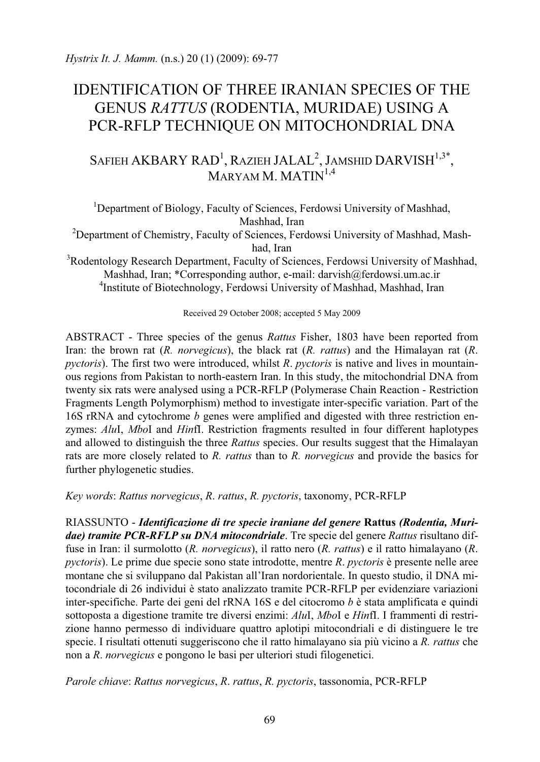# IDENTIFICATION OF THREE IRANIAN SPECIES OF THE GENUS *RATTUS* (RODENTIA, MURIDAE) USING A PCR-RFLP TECHNIQUE ON MITOCHONDRIAL DNA

## SAFIEH AKBARY RAD<sup>1</sup>, Razieh JALAL<sup>2</sup>, Jamshid DARVISH<sup>1,3\*</sup>, MARYAM M. MATIN<sup>1,4</sup>

<sup>1</sup>Department of Biology, Faculty of Sciences, Ferdowsi University of Mashhad,

Mashhad, Iran<br><sup>2</sup>Department of Chemistry, Faculty of Sciences, Ferdowsi University of Mashhad, Mash-

had, Iran<br>
<sup>3</sup>Rodentology Research Department, Faculty of Sciences, Ferdowsi University of Mashhad, Mashhad, Iran; \*Corresponding author, e-mail: darvish@ferdowsi.um.ac.ir 4 Institute of Biotechnology, Ferdowsi University of Mashhad, Mashhad, Iran

Received 29 October 2008; accepted 5 May 2009

ABSTRACT - Three species of the genus *Rattus* Fisher, 1803 have been reported from Iran: the brown rat (*R. norvegicus*), the black rat (*R. rattus*) and the Himalayan rat (*R*. *pyctoris*). The first two were introduced, whilst *R*. *pyctoris* is native and lives in mountainous regions from Pakistan to north-eastern Iran. In this study, the mitochondrial DNA from twenty six rats were analysed using a PCR-RFLP (Polymerase Chain Reaction - Restriction Fragments Length Polymorphism) method to investigate inter-specific variation. Part of the 16S rRNA and cytochrome *b* genes were amplified and digested with three restriction enzymes: *Alu*I, *Mbo*I and *Hin*fI. Restriction fragments resulted in four different haplotypes and allowed to distinguish the three *Rattus* species. Our results suggest that the Himalayan rats are more closely related to *R. rattus* than to *R. norvegicus* and provide the basics for further phylogenetic studies.

*Key words*: *Rattus norvegicus*, *R*. *rattus*, *R. pyctoris*, taxonomy, PCR-RFLP

RIASSUNTO - *Identificazione di tre specie iraniane del genere* **Rattus** *(Rodentia, Muridae) tramite PCR-RFLP su DNA mitocondriale*. Tre specie del genere *Rattus* risultano diffuse in Iran: il surmolotto (*R. norvegicus*), il ratto nero (*R. rattus*) e il ratto himalayano (*R*. *pyctoris*). Le prime due specie sono state introdotte, mentre *R*. *pyctoris* è presente nelle aree montane che si sviluppano dal Pakistan all'Iran nordorientale. In questo studio, il DNA mitocondriale di 26 individui è stato analizzato tramite PCR-RFLP per evidenziare variazioni inter-specifiche. Parte dei geni del rRNA 16S e del citocromo *b* è stata amplificata e quindi sottoposta a digestione tramite tre diversi enzimi: *Alu*I, *Mbo*I e *Hin*fI. I frammenti di restrizione hanno permesso di individuare quattro aplotipi mitocondriali e di distinguere le tre specie. I risultati ottenuti suggeriscono che il ratto himalayano sia più vicino a *R. rattus* che non a *R*. *norvegicus* e pongono le basi per ulteriori studi filogenetici.

*Parole chiave*: *Rattus norvegicus*, *R*. *rattus*, *R. pyctoris*, tassonomia, PCR-RFLP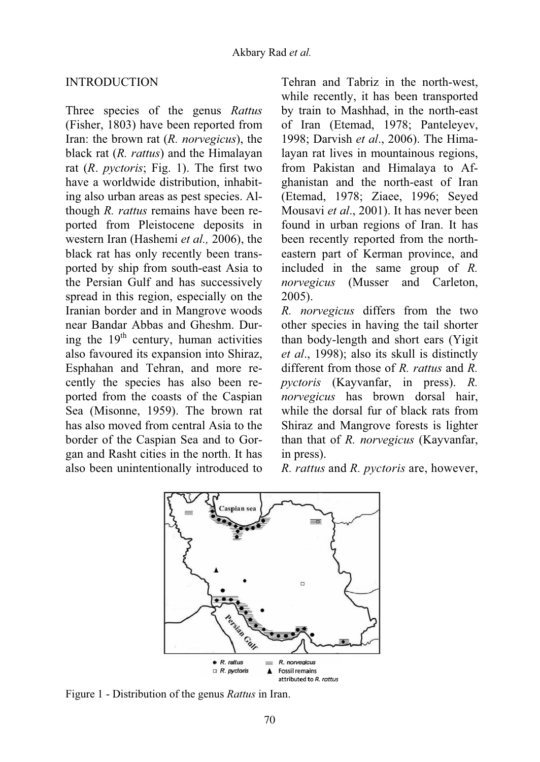## **INTRODUCTION**

Three species of the genus *Rattus* (Fisher, 1803) have been reported from Iran: the brown rat (*R. norvegicus*), the black rat (*R. rattus*) and the Himalayan rat (*R*. *pyctoris*; Fig. 1). The first two have a worldwide distribution, inhabiting also urban areas as pest species. Although *R. rattus* remains have been reported from Pleistocene deposits in western Iran (Hashemi *et al.,* 2006), the black rat has only recently been transported by ship from south-east Asia to the Persian Gulf and has successively spread in this region, especially on the Iranian border and in Mangrove woods near Bandar Abbas and Gheshm. During the  $19<sup>th</sup>$  century, human activities also favoured its expansion into Shiraz, Esphahan and Tehran, and more recently the species has also been reported from the coasts of the Caspian Sea (Misonne, 1959). The brown rat has also moved from central Asia to the border of the Caspian Sea and to Gorgan and Rasht cities in the north. It has also been unintentionally introduced to

Tehran and Tabriz in the north-west, while recently, it has been transported by train to Mashhad, in the north-east of Iran (Etemad, 1978; Panteleyev, 1998; Darvish *et al*., 2006). The Himalayan rat lives in mountainous regions, from Pakistan and Himalaya to Afghanistan and the north-east of Iran (Etemad, 1978; Ziaee, 1996; Seyed Mousavi *et al*., 2001). It has never been found in urban regions of Iran. It has been recently reported from the northeastern part of Kerman province, and included in the same group of *R. norvegicus* (Musser and Carleton, 2005).

*R. norvegicus* differs from the two other species in having the tail shorter than body-length and short ears (Yigit *et al*., 1998); also its skull is distinctly different from those of *R. rattus* and *R. pyctoris* (Kayvanfar, in press). *R. norvegicus* has brown dorsal hair, while the dorsal fur of black rats from Shiraz and Mangrove forests is lighter than that of *R. norvegicus* (Kayvanfar, in press).

*R. rattus* and *R. pyctoris* are, however,



Figure 1 - Distribution of the genus *Rattus* in Iran.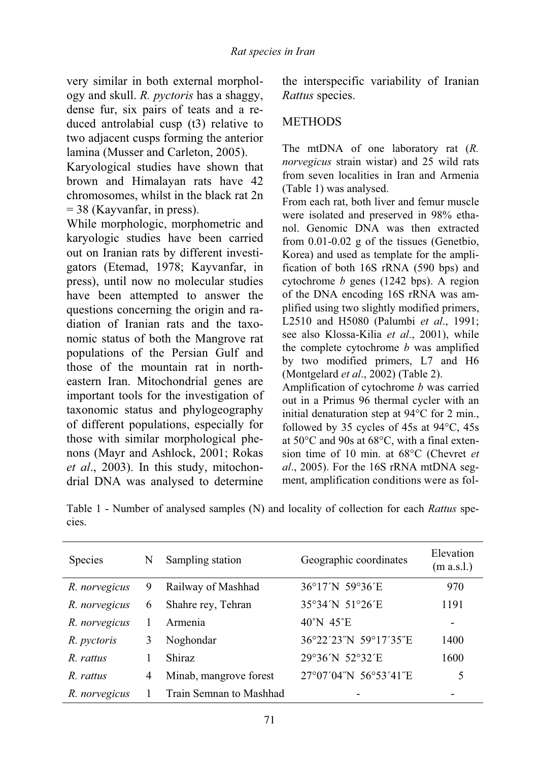very similar in both external morphology and skull. *R. pyctoris* has a shaggy, dense fur, six pairs of teats and a reduced antrolabial cusp (t3) relative to two adjacent cusps forming the anterior lamina (Musser and Carleton, 2005).

Karyological studies have shown that brown and Himalayan rats have 42 chromosomes, whilst in the black rat 2n  $= 38$  (Kayvanfar, in press).

While morphologic, morphometric and karyologic studies have been carried out on Iranian rats by different investigators (Etemad, 1978; Kayvanfar, in press), until now no molecular studies have been attempted to answer the questions concerning the origin and radiation of Iranian rats and the taxonomic status of both the Mangrove rat populations of the Persian Gulf and those of the mountain rat in northeastern Iran. Mitochondrial genes are important tools for the investigation of taxonomic status and phylogeography of different populations, especially for those with similar morphological phenons (Mayr and Ashlock, 2001; Rokas *et al*., 2003). In this study, mitochondrial DNA was analysed to determine the interspecific variability of Iranian *Rattus* species.

## METHODS

The mtDNA of one laboratory rat (*R. norvegicus* strain wistar) and 25 wild rats from seven localities in Iran and Armenia (Table 1) was analysed.

From each rat, both liver and femur muscle were isolated and preserved in 98% ethanol. Genomic DNA was then extracted from 0.01-0.02 g of the tissues (Genetbio, Korea) and used as template for the amplification of both 16S rRNA (590 bps) and cytochrome *b* genes (1242 bps). A region of the DNA encoding 16S rRNA was amplified using two slightly modified primers, L2510 and H5080 (Palumbi *et al*., 1991; see also Klossa-Kilia *et al*., 2001), while the complete cytochrome *b* was amplified by two modified primers, L7 and H6 (Montgelard *et al*., 2002) (Table 2).

Amplification of cytochrome *b* was carried out in a Primus 96 thermal cycler with an initial denaturation step at 94°C for 2 min., followed by 35 cycles of 45s at 94°C, 45s at 50°C and 90s at 68°C, with a final extension time of 10 min. at 68°C (Chevret *et al*., 2005). For the 16S rRNA mtDNA segment, amplification conditions were as fol-

Table 1 - Number of analysed samples (N) and locality of collection for each *Rattus* species.

| Species       | N | Sampling station        | Geographic coordinates        | Elevation<br>(m a.s.l.)  |
|---------------|---|-------------------------|-------------------------------|--------------------------|
| R. norvegicus | 9 | Railway of Mashhad      | 36°17'N 59°36'E               | 970                      |
| R. norvegicus | 6 | Shahre rey, Tehran      | 35°34'N 51°26'E               | 1191                     |
| R. norvegicus |   | Armenia                 | $40^{\circ}$ N $45^{\circ}$ E | $\overline{\phantom{a}}$ |
| R. pyctoris   | 3 | Noghondar               | 36°22′23″N 59°17′35″E         | 1400                     |
| R. rattus     |   | <b>Shiraz</b>           | 29°36'N 52°32'E               | 1600                     |
| R. rattus     | 4 | Minab, mangrove forest  | 27°07'04"N 56°53'41"E         | 5                        |
| R. norvegicus |   | Train Semnan to Mashhad |                               |                          |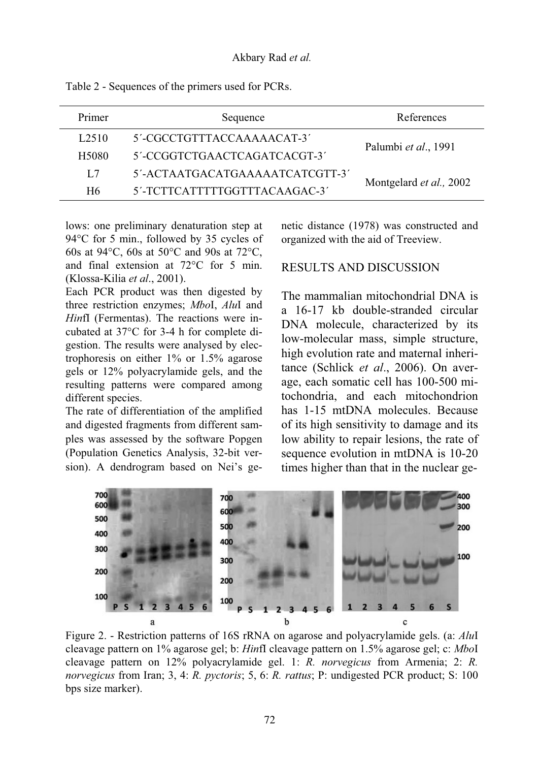| Primer            | Sequence                        | References                      |  |
|-------------------|---------------------------------|---------------------------------|--|
| L <sub>2510</sub> | 5'-CGCCTGTTTACCAAAAACAT-3'      |                                 |  |
| H <sub>5080</sub> | 5'-CCGGTCTGAACTCAGATCACGT-3'    | Palumbi et al., 1991            |  |
| L7                | 5'-ACTAATGACATGAAAAATCATCGTT-3' |                                 |  |
| H6                | 5'-TCTTCATTTTTGGTTTACAAGAC-3'   | Montgelard <i>et al.</i> , 2002 |  |

Table 2 - Sequences of the primers used for PCRs.

lows: one preliminary denaturation step at 94°C for 5 min., followed by 35 cycles of 60s at 94°C, 60s at 50°C and 90s at 72°C, and final extension at 72°C for 5 min. (Klossa-Kilia *et al*., 2001).

Each PCR product was then digested by three restriction enzymes; *Mbo*I, *Alu*I and *Hin*fI (Fermentas). The reactions were incubated at 37°C for 3-4 h for complete digestion. The results were analysed by electrophoresis on either 1% or 1.5% agarose gels or 12% polyacrylamide gels, and the resulting patterns were compared among different species.

The rate of differentiation of the amplified and digested fragments from different samples was assessed by the software Popgen (Population Genetics Analysis, 32-bit version). A dendrogram based on Nei's genetic distance (1978) was constructed and organized with the aid of Treeview.

#### RESULTS AND DISCUSSION

The mammalian mitochondrial DNA is a 16-17 kb double-stranded circular DNA molecule, characterized by its low-molecular mass, simple structure, high evolution rate and maternal inheritance (Schlick *et al*., 2006). On average, each somatic cell has 100-500 mitochondria, and each mitochondrion has 1-15 mtDNA molecules. Because of its high sensitivity to damage and its low ability to repair lesions, the rate of sequence evolution in mtDNA is 10-20 times higher than that in the nuclear ge-



Figure 2. - Restriction patterns of 16S rRNA on agarose and polyacrylamide gels. (a: *Alu*I cleavage pattern on 1% agarose gel; b: *Hin*fI cleavage pattern on 1.5% agarose gel; c: *Mbo*I cleavage pattern on 12% polyacrylamide gel. 1: *R. norvegicus* from Armenia; 2: *R. norvegicus* from Iran; 3, 4: *R. pyctoris*; 5, 6: *R. rattus*; P: undigested PCR product; S: 100 bps size marker).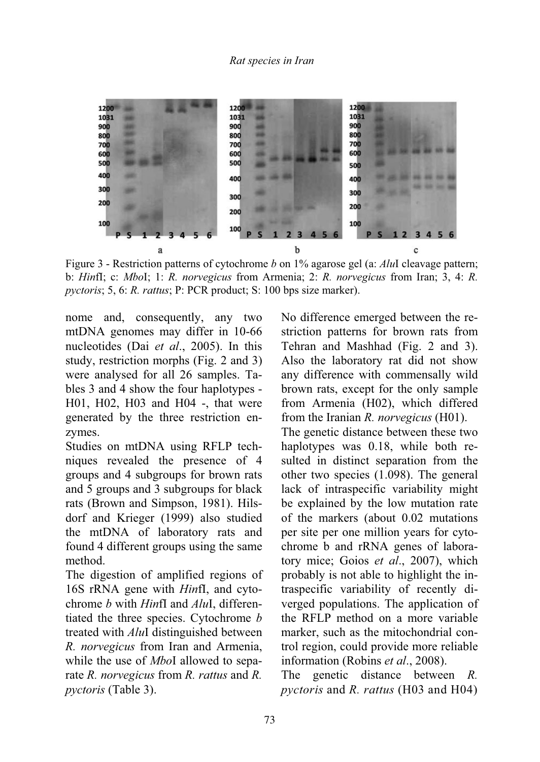

Figure 3 - Restriction patterns of cytochrome *b* on 1% agarose gel (a: *Alu*I cleavage pattern; b: *Hin*fI; c: *Mbo*I; 1: *R. norvegicus* from Armenia; 2: *R. norvegicus* from Iran; 3, 4: *R. pyctoris*; 5, 6: *R. rattus*; P: PCR product; S: 100 bps size marker).

nome and, consequently, any two mtDNA genomes may differ in 10-66 nucleotides (Dai *et al*., 2005). In this study, restriction morphs (Fig. 2 and 3) were analysed for all 26 samples. Tables 3 and 4 show the four haplotypes - H01, H02, H03 and H04 -, that were generated by the three restriction enzymes.

Studies on mtDNA using RFLP techniques revealed the presence of 4 groups and 4 subgroups for brown rats and 5 groups and 3 subgroups for black rats (Brown and Simpson, 1981). Hilsdorf and Krieger (1999) also studied the mtDNA of laboratory rats and found 4 different groups using the same method.

The digestion of amplified regions of 16S rRNA gene with *Hin*fI, and cytochrome *b* with *Hin*fI and *Alu*I, differentiated the three species. Cytochrome *b* treated with *Alu*I distinguished between *R. norvegicus* from Iran and Armenia, while the use of *Mbo*I allowed to separate *R. norvegicus* from *R. rattus* and *R. pyctoris* (Table 3).

No difference emerged between the restriction patterns for brown rats from Tehran and Mashhad (Fig. 2 and 3). Also the laboratory rat did not show any difference with commensally wild brown rats, except for the only sample from Armenia (H02), which differed from the Iranian *R. norvegicus* (H01).

The genetic distance between these two haplotypes was 0.18, while both resulted in distinct separation from the other two species (1.098). The general lack of intraspecific variability might be explained by the low mutation rate of the markers (about 0.02 mutations per site per one million years for cytochrome b and rRNA genes of laboratory mice; Goios *et al*., 2007), which probably is not able to highlight the intraspecific variability of recently diverged populations. The application of the RFLP method on a more variable marker, such as the mitochondrial control region, could provide more reliable information (Robins *et al*., 2008).

The genetic distance between *R. pyctoris* and *R. rattus* (H03 and H04)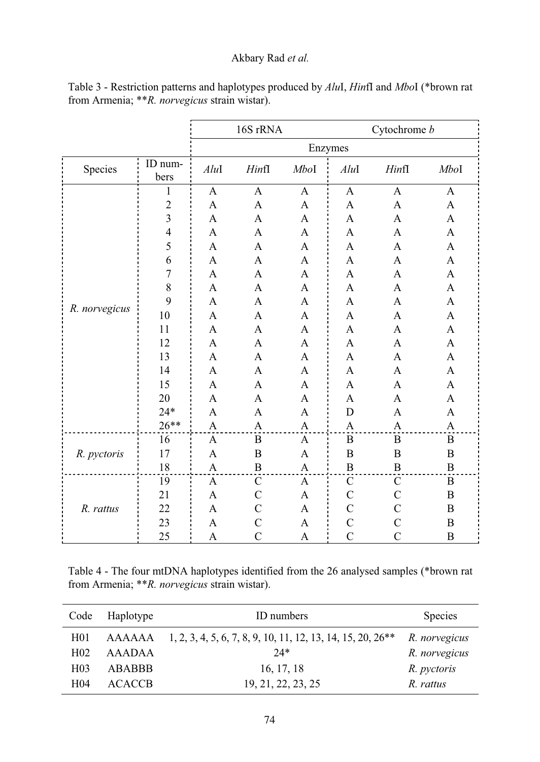## Akbary Rad *et al.*

|               |                         | 16S rRNA     |                  | Cytochrome b |                  |                  |                  |
|---------------|-------------------------|--------------|------------------|--------------|------------------|------------------|------------------|
|               |                         | Enzymes      |                  |              |                  |                  |                  |
| Species       | ID num-<br>bers         | $Alu$ I      | HintI            | Mbol         | AluI             | HintI            | Mbol             |
|               | 1                       | $\mathbf{A}$ | $\mathbf{A}$     | $\mathbf{A}$ | $\mathbf{A}$     | $\mathbf{A}$     | A                |
|               | $\overline{2}$          | $\mathbf{A}$ | $\mathbf{A}$     | $\mathbf{A}$ | $\mathbf{A}$     | $\mathbf{A}$     | $\mathbf{A}$     |
|               | 3                       | A            | A                | A            | A                | A                | A                |
|               | $\overline{\mathbf{4}}$ | A            | $\mathbf{A}$     | A            | A                | A                | A                |
|               | 5                       | A            | A                | A            | A                | A                | A                |
|               | 6                       | $\mathbf{A}$ | $\mathbf{A}$     | A            | A                | A                | $\mathbf{A}$     |
|               | 7                       | A            | A                | A            | A                | A                | A                |
|               | 8                       | A            | A                | A            | A                | A                | A                |
|               | 9                       | A            | A                | A            | A                | A                | A                |
| R. norvegicus | 10                      | A            | $\mathbf{A}$     | A            | A                | $\mathbf{A}$     | $\mathbf{A}$     |
|               | 11                      | A            | A                | A            | A                | A                | A                |
|               | 12                      | A            | $\mathbf{A}$     | A            | A                | A                | A                |
|               | 13                      | A            | A                | A            | A                | A                | A                |
|               | 14                      | A            | A                | A            | A                | A                | A                |
|               | 15                      | $\mathbf{A}$ | $\mathbf{A}$     | A            | A                | A                | A                |
|               | 20                      | A            | A                | A            | A                | A                | A                |
|               | $24*$                   | A            | A                | A            | D                | A                | A                |
|               | $26**$                  | A            | A                | A            | $\boldsymbol{A}$ | $\boldsymbol{A}$ | $\boldsymbol{A}$ |
| R. pyctoris   | 16                      | $\mathbf{A}$ | $\boldsymbol{B}$ | $\mathbf{A}$ | $\boldsymbol{B}$ | $\, {\bf B}$     | B                |
|               | 17                      | A            | $\overline{B}$   | A            | $\overline{B}$   | $\, {\bf B}$     | $\overline{B}$   |
|               | 18                      | A            | B                | A            | B                | $\, {\bf B}$     | $\mathbf B$      |
|               | 19                      | $\mathbf{A}$ | $\mathcal{C}$    | A            | $\mathcal{C}$    | $\mathcal{C}$    | $\mathbf B$      |
|               | 21                      | A            | C                | A            | $\mathcal{C}$    | $\mathcal{C}$    | $\boldsymbol{B}$ |
| R. rattus     | 22                      | A            | $\mathcal{C}$    | A            | $\mathcal{C}$    | $\mathcal{C}$    | $\boldsymbol{B}$ |
|               | 23                      | A            | $\mathcal{C}$    | A            | $\mathcal{C}$    | $\overline{C}$   | B                |
|               | 25                      | A            | $\mathcal{C}$    | A            | $\overline{C}$   | $\mathcal{C}$    | B                |

Table 3 - Restriction patterns and haplotypes produced by *Alu*I, *Hin*fI and *Mbo*I (\*brown rat from Armenia; \*\**R. norvegicus* strain wistar).

Table 4 - The four mtDNA haplotypes identified from the 26 analysed samples (\*brown rat from Armenia; \*\**R. norvegicus* strain wistar).

| Code             | Haplotype<br>ID numbers |                                                                                | <b>Species</b> |
|------------------|-------------------------|--------------------------------------------------------------------------------|----------------|
| H <sub>01</sub>  |                         | AAAAAA 1, 2, 3, 4, 5, 6, 7, 8, 9, 10, 11, 12, 13, 14, 15, 20, 26 <sup>**</sup> | R. norvegicus  |
| H <sub>02</sub>  | AAADAA                  | $24*$                                                                          | R. norvegicus  |
| H <sub>0</sub> 3 | ABABBB                  | 16, 17, 18                                                                     | R. pyctoris    |
| H <sub>04</sub>  | <b>ACACCB</b>           | 19, 21, 22, 23, 25                                                             | R. rattus      |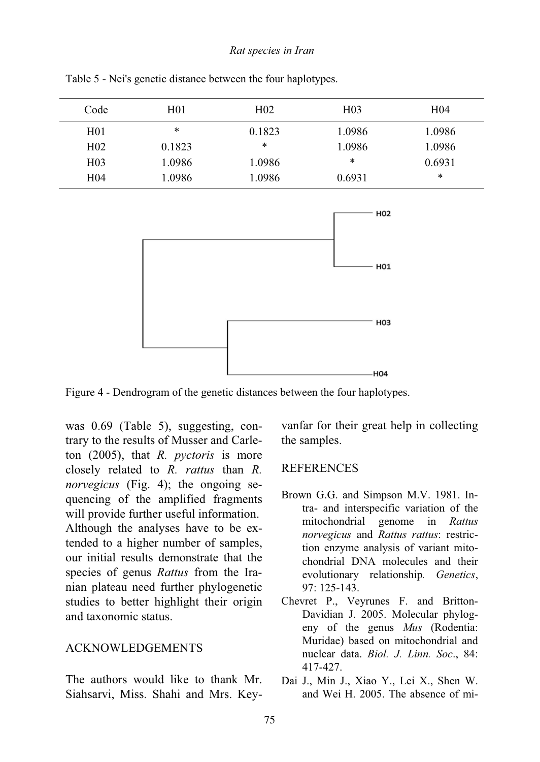| Code            | H <sub>01</sub> | H <sub>02</sub> | H <sub>03</sub> | H <sub>04</sub> |
|-----------------|-----------------|-----------------|-----------------|-----------------|
| H <sub>01</sub> | $\ast$          | 0.1823          | 1.0986          | 1.0986          |
| H <sub>02</sub> | 0.1823          | *               | 1.0986          | 1.0986          |
| H <sub>03</sub> | 1.0986          | 1.0986          | $\ast$          | 0.6931          |
| H04             | 1.0986          | 1.0986          | 0.6931          | $\ast$          |

Table 5 - Nei's genetic distance between the four haplotypes.



Figure 4 - Dendrogram of the genetic distances between the four haplotypes.

was 0.69 (Table 5), suggesting, contrary to the results of Musser and Carleton (2005), that *R. pyctoris* is more closely related to *R. rattus* than *R. norvegicus* (Fig. 4); the ongoing sequencing of the amplified fragments will provide further useful information. Although the analyses have to be extended to a higher number of samples, our initial results demonstrate that the species of genus *Rattus* from the Iranian plateau need further phylogenetic studies to better highlight their origin and taxonomic status.

#### ACKNOWLEDGEMENTS

The authors would like to thank Mr. Siahsarvi, Miss. Shahi and Mrs. Keyvanfar for their great help in collecting the samples.

#### REFERENCES

- Brown G.G. and Simpson M.V. 1981. Intra- and interspecific variation of the mitochondrial genome in *Rattus norvegicus* and *Rattus rattus*: restriction enzyme analysis of variant mitochondrial DNA molecules and their evolutionary relationship*. Genetics*, 97: 125-143.
- Chevret P., Veyrunes F. and Britton-Davidian J. 2005. Molecular phylogeny of the genus *Mus* (Rodentia: Muridae) based on mitochondrial and nuclear data. *Biol. J. Linn. Soc*., 84: 417-427.
- Dai J., Min J., Xiao Y., Lei X., Shen W. and Wei H. 2005. The absence of mi-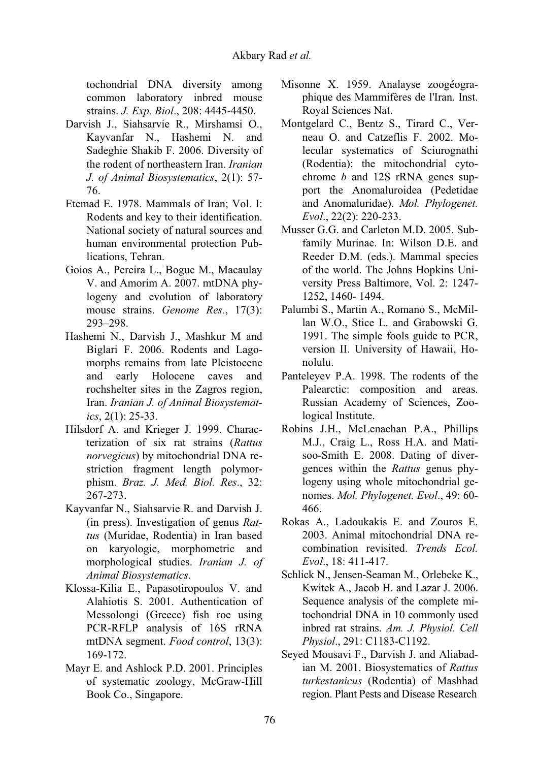tochondrial DNA diversity among common laboratory inbred mouse strains. *J. Exp. Biol*., 208: 4445-4450.

- Darvish J., Siahsarvie R., Mirshamsi O., Kayvanfar N., Hashemi N. and Sadeghie Shakib F. 2006. Diversity of the rodent of northeastern Iran. *Iranian J. of Animal Biosystematics*, 2(1): 57- 76.
- Etemad E. 1978. Mammals of Iran; Vol. I: Rodents and key to their identification. National society of natural sources and human environmental protection Publications, Tehran.
- Goios A., Pereira L., Bogue M., Macaulay V. and Amorim A. 2007. mtDNA phylogeny and evolution of laboratory mouse strains. *Genome Res.*, 17(3): 293–298.
- Hashemi N., Darvish J., Mashkur M and Biglari F. 2006. Rodents and Lagomorphs remains from late Pleistocene and early Holocene caves and rochshelter sites in the Zagros region, Iran. *Iranian J. of Animal Biosystematics*, 2(1): 25-33.
- Hilsdorf A. and Krieger J. 1999. Characterization of six rat strains (*Rattus norvegicus*) by mitochondrial DNA restriction fragment length polymorphism. *Braz. J. Med. Biol. Res*., 32: 267-273.
- Kayvanfar N., Siahsarvie R. and Darvish J. (in press). Investigation of genus *Rattus* (Muridae, Rodentia) in Iran based on karyologic, morphometric and morphological studies. *Iranian J. of Animal Biosystematics*.
- Klossa-Kilia E., Papasotiropoulos V. and Alahiotis S. 2001. Authentication of Messolongi (Greece) fish roe using PCR-RFLP analysis of 16S rRNA mtDNA segment. *Food control*, 13(3): 169-172.
- Mayr E. and Ashlock P.D. 2001. Principles of systematic zoology, McGraw-Hill Book Co., Singapore.
- Misonne X. 1959. Analayse zoogéographique des Mammifères de l'Iran. Inst. Royal Sciences Nat.
- Montgelard C., Bentz S., Tirard C., Verneau O. and Catzeflis F. 2002. Molecular systematics of Sciurognathi (Rodentia): the mitochondrial cytochrome *b* and 12S rRNA genes support the Anomaluroidea (Pedetidae and Anomaluridae). *Mol. Phylogenet. Evol*., 22(2): 220-233.
- Musser G.G. and Carleton M.D. 2005. Subfamily Murinae. In: Wilson D.E. and Reeder D.M. (eds.). Mammal species of the world. The Johns Hopkins University Press Baltimore, Vol. 2: 1247- 1252, 1460- 1494.
- Palumbi S., Martin A., Romano S., McMillan W.O., Stice L. and Grabowski G. 1991. The simple fools guide to PCR, version II. University of Hawaii, Honolulu.
- Panteleyev P.A. 1998. The rodents of the Palearctic: composition and areas. Russian Academy of Sciences, Zoological Institute.
- Robins J.H., McLenachan P.A., Phillips M.J., Craig L., Ross H.A. and Matisoo-Smith E. 2008. Dating of divergences within the *Rattus* genus phylogeny using whole mitochondrial genomes. *Mol. Phylogenet. Evol*., 49: 60- 466.
- Rokas A., Ladoukakis E. and Zouros E. 2003. Animal mitochondrial DNA recombination revisited. *Trends Ecol. Evol*., 18: 411-417.
- Schlick N., Jensen-Seaman M., Orlebeke K., Kwitek A., Jacob H. and Lazar J. 2006. Sequence analysis of the complete mitochondrial DNA in 10 commonly used inbred rat strains. *Am. J. Physiol. Cell Physiol*., 291: C1183-C1192.
- Seyed Mousavi F., Darvish J. and Aliabadian M. 2001. Biosystematics of *Rattus turkestanicus* (Rodentia) of Mashhad region. Plant Pests and Disease Research